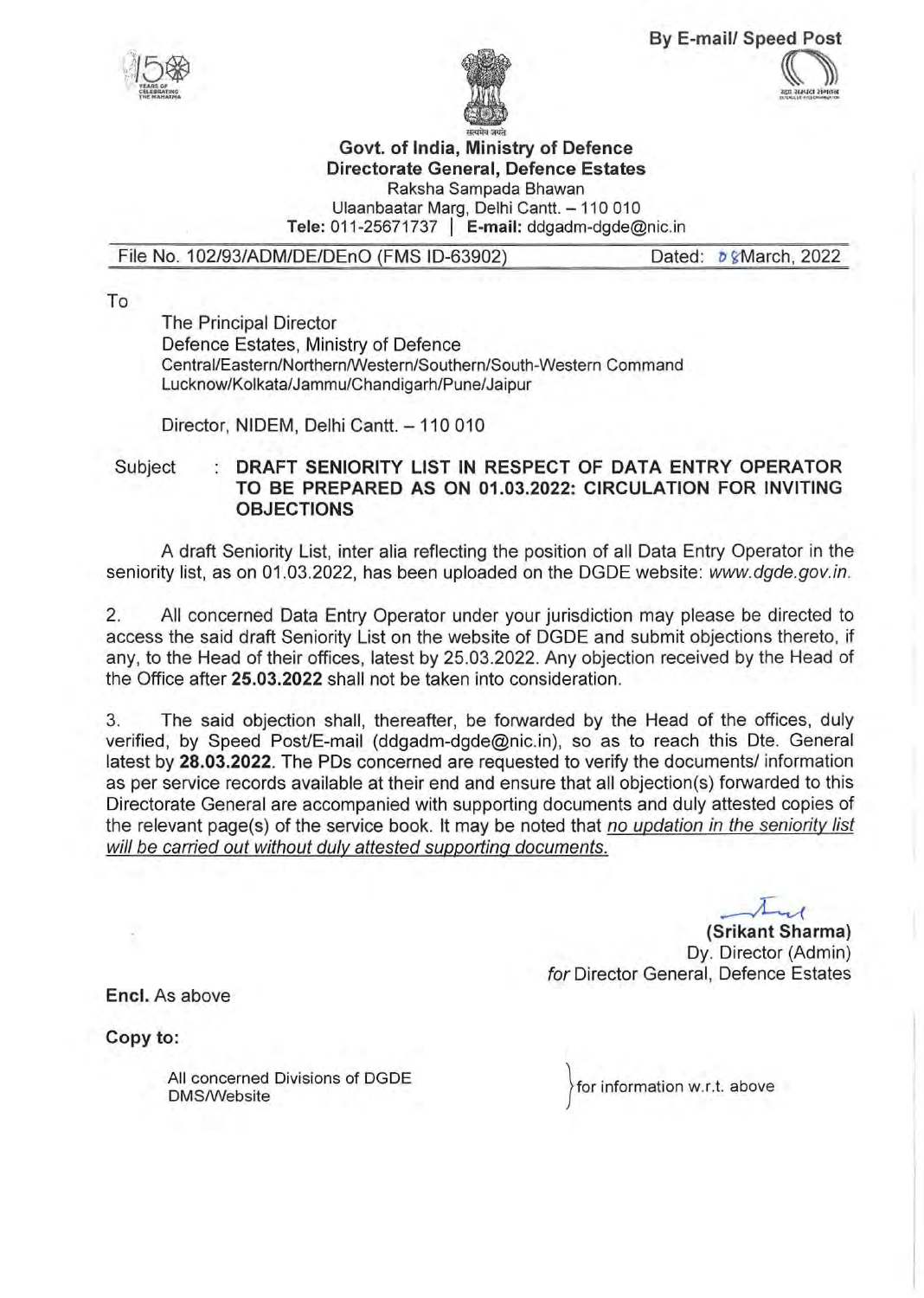**By E-mail/ Speed Post**   $\mathbb{C}$ 





## **Govt. of India, Ministry of Defence Directorate General, Defence Estates**  Raksha Sampada Bhawan Ulaanbaatar Marg, Delhi Cantt. - 110 010

**Tele:** 011-25671737 I **E-mail:** ddgadm-dgde@nic.in

## File No. 102/93/ADM/DE/DEnO (FMS ID-63902) Dated:  $\delta$  & March, 2022

To

The Principal Director Defence Estates, Ministry of Defence Central/Eastern/Northern/Western/Southern/South-Western Command Lucknow/Kolkata/Jammu/Chandigarh/Pune/Jaipur

Director, NIDEM, Delhi Cantt. - 110 010

Subject **DRAFT SENIORITY LIST IN RESPECT OF DATA ENTRY OPERATOR TO BE PREPARED AS ON 01.03.2022: CIRCULATION FOR INVITING OBJECTIONS** 

A draft Seniority List, inter alia reflecting the position of all Data Entry Operator in the seniority list, as on 01.03.2022, has been uploaded on the DGDE website: www.dgde.gov.in.

2. All concerned Data Entry Operator under your jurisdiction may please be directed to access the said draft Seniority List on the website of DGDE and submit objections thereto, if any, to the Head of their offices, latest by 25.03.2022. Any objection received by the Head of the Office after **25.03.2022** shall not be taken into consideration.

3. The said objection shall, thereafter, be forwarded by the Head of the offices, duly verified, by Speed Post/E-mail (ddgadm-dgde@nic.in), so as to reach this Dte. General latest by **28.03.2022.** The PDs concerned are requested to verify the documents/ information as per service records available at their end and ensure that all objection(s) forwarded to this Directorate General are accompanied with supporting documents and duly attested copies of the relevant page(s) of the service book. It may be noted that no updation in the seniority list will be carried out without duly attested supporting documents.

**(Srikant Sharma)** Dy. Director (Admin) for Director General, Defence Estates

**Encl.** As above

**Copy to:** 

All concerned Divisions of DGDE OMS/Website

for information w.r.t. above